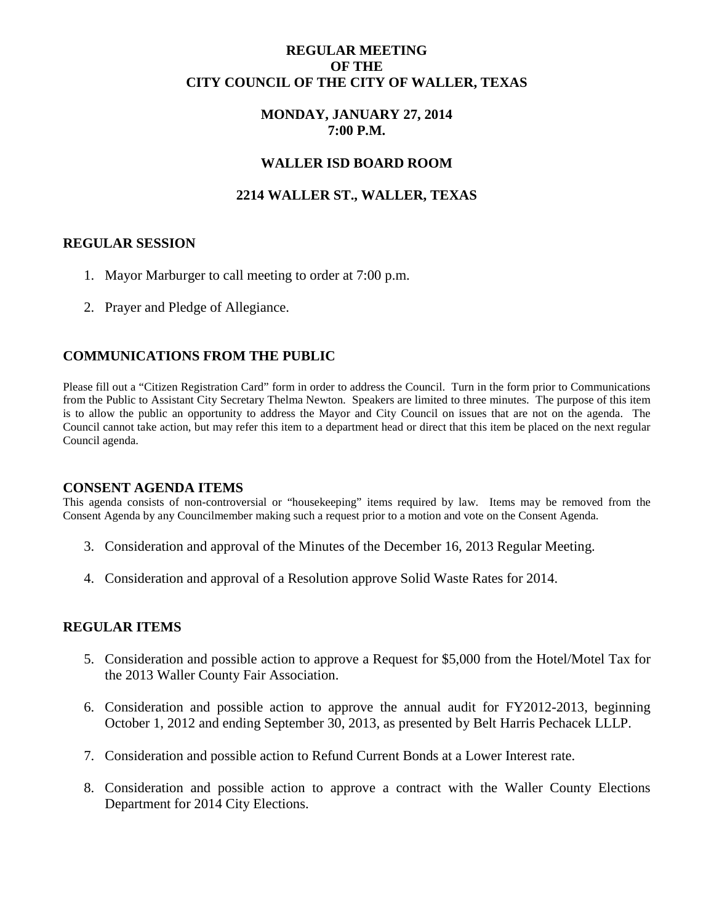# **REGULAR MEETING OF THE CITY COUNCIL OF THE CITY OF WALLER, TEXAS**

# **MONDAY, JANUARY 27, 2014 7:00 P.M.**

## **WALLER ISD BOARD ROOM**

# **2214 WALLER ST., WALLER, TEXAS**

### **REGULAR SESSION**

- 1. Mayor Marburger to call meeting to order at 7:00 p.m.
- 2. Prayer and Pledge of Allegiance.

## **COMMUNICATIONS FROM THE PUBLIC**

Please fill out a "Citizen Registration Card" form in order to address the Council. Turn in the form prior to Communications from the Public to Assistant City Secretary Thelma Newton. Speakers are limited to three minutes. The purpose of this item is to allow the public an opportunity to address the Mayor and City Council on issues that are not on the agenda. The Council cannot take action, but may refer this item to a department head or direct that this item be placed on the next regular Council agenda.

#### **CONSENT AGENDA ITEMS**

This agenda consists of non-controversial or "housekeeping" items required by law. Items may be removed from the Consent Agenda by any Councilmember making such a request prior to a motion and vote on the Consent Agenda.

- 3. Consideration and approval of the Minutes of the December 16, 2013 Regular Meeting.
- 4. Consideration and approval of a Resolution approve Solid Waste Rates for 2014.

### **REGULAR ITEMS**

- 5. Consideration and possible action to approve a Request for \$5,000 from the Hotel/Motel Tax for the 2013 Waller County Fair Association.
- 6. Consideration and possible action to approve the annual audit for FY2012-2013, beginning October 1, 2012 and ending September 30, 2013, as presented by Belt Harris Pechacek LLLP.
- 7. Consideration and possible action to Refund Current Bonds at a Lower Interest rate.
- 8. Consideration and possible action to approve a contract with the Waller County Elections Department for 2014 City Elections.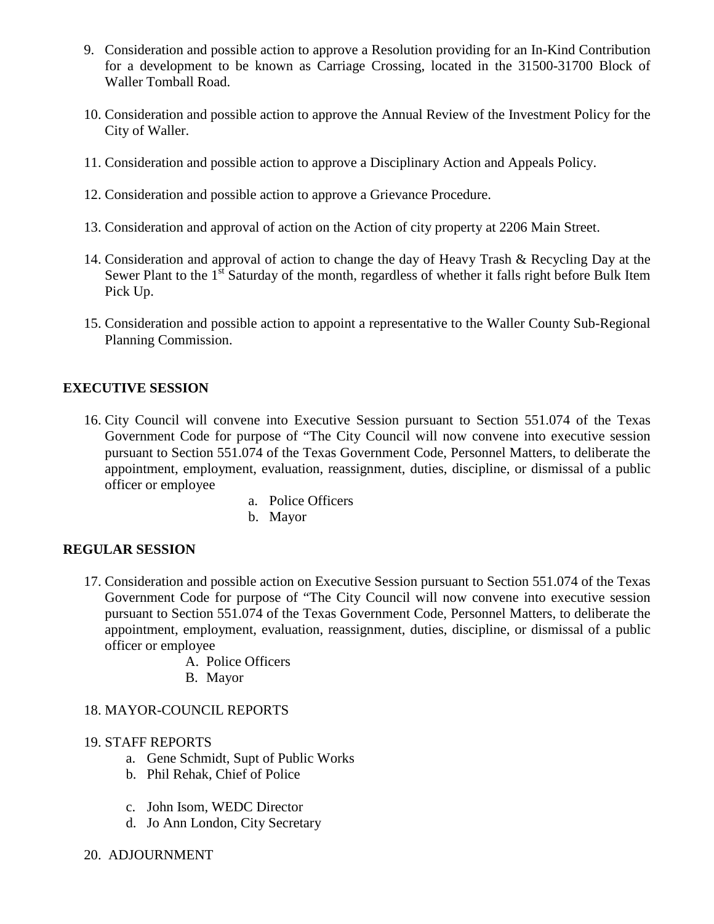- 9. Consideration and possible action to approve a Resolution providing for an In-Kind Contribution for a development to be known as Carriage Crossing, located in the 31500-31700 Block of Waller Tomball Road.
- 10. Consideration and possible action to approve the Annual Review of the Investment Policy for the City of Waller.
- 11. Consideration and possible action to approve a Disciplinary Action and Appeals Policy.
- 12. Consideration and possible action to approve a Grievance Procedure.
- 13. Consideration and approval of action on the Action of city property at 2206 Main Street.
- 14. Consideration and approval of action to change the day of Heavy Trash & Recycling Day at the Sewer Plant to the  $1<sup>st</sup>$  Saturday of the month, regardless of whether it falls right before Bulk Item Pick Up.
- 15. Consideration and possible action to appoint a representative to the Waller County Sub-Regional Planning Commission.

# **EXECUTIVE SESSION**

- 16. City Council will convene into Executive Session pursuant to Section 551.074 of the Texas Government Code for purpose of "The City Council will now convene into executive session pursuant to Section 551.074 of the Texas Government Code, Personnel Matters, to deliberate the appointment, employment, evaluation, reassignment, duties, discipline, or dismissal of a public officer or employee
	- a. Police Officers
	- b. Mayor

# **REGULAR SESSION**

- 17. Consideration and possible action on Executive Session pursuant to Section 551.074 of the Texas Government Code for purpose of "The City Council will now convene into executive session pursuant to Section 551.074 of the Texas Government Code, Personnel Matters, to deliberate the appointment, employment, evaluation, reassignment, duties, discipline, or dismissal of a public officer or employee
	- A. Police Officers
	- B. Mayor

# 18. MAYOR-COUNCIL REPORTS

### 19. STAFF REPORTS

- a. Gene Schmidt, Supt of Public Works
- b. Phil Rehak, Chief of Police
- c. John Isom, WEDC Director
- d. Jo Ann London, City Secretary
- 20. ADJOURNMENT